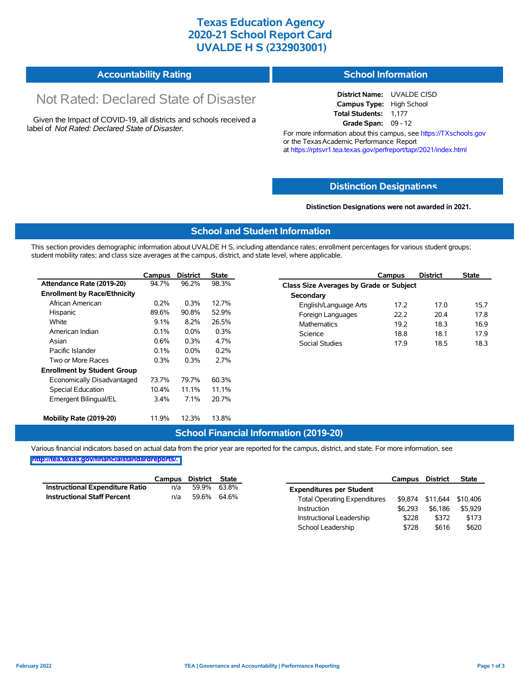### **Texas Education Agency 2020-21 School Report Card UVALDE H S (232903001)**

#### **Accountability Rating School Information**

# Not Rated: Declared State of Disaster

Given the Impact of COVID-19, all districts and schools received a label of *Not Rated: Declared State of Disaster.*

#### **District Name:** UVALDE CISD **Campus Type:** High School **Total Students:** 1,177 **Grade Span:** 09 - 12

For more information about this campus, see https://TXschools.gov or the Texas Academic Performance Report at https://rptsvr1.tea.texas.gov/perfreport/tapr/2021/index.html

### **Distinction Designat[ions](https://TXschools.gov)**

#### **Distinction Designations were not awarded in 2021.**

School Leadership  $$728$  \$616 \$620

#### **School and Student Information**

This section provides demographic information about UVALDE H S, including attendance rates; enrollment percentages for various student groups; student mobility rates; and class size averages at the campus, district, and state level, where applicable.

|                                     | Campus  | <b>District</b> | <b>State</b> | Campus                        | <b>District</b>                                | <b>State</b> |  |  |  |  |
|-------------------------------------|---------|-----------------|--------------|-------------------------------|------------------------------------------------|--------------|--|--|--|--|
| Attendance Rate (2019-20)           | 94.7%   | 96.2%           | 98.3%        |                               | <b>Class Size Averages by Grade or Subject</b> |              |  |  |  |  |
| <b>Enrollment by Race/Ethnicity</b> |         |                 |              | Secondary                     |                                                |              |  |  |  |  |
| African American                    | 0.2%    | 0.3%            | 12.7%        | 17.2<br>English/Language Arts | 17.0                                           |              |  |  |  |  |
| Hispanic                            | 89.6%   | 90.8%           | 52.9%        | 22.2<br>Foreign Languages     | 20.4                                           |              |  |  |  |  |
| White                               | 9.1%    | 8.2%            | 26.5%        | <b>Mathematics</b><br>19.2    | 18.3                                           |              |  |  |  |  |
| American Indian                     | 0.1%    | $0.0\%$         | 0.3%         | Science<br>18.8               | 18.1                                           |              |  |  |  |  |
| Asian                               | $0.6\%$ | $0.3\%$         | 4.7%         | <b>Social Studies</b><br>17.9 | 18.5                                           |              |  |  |  |  |
| Pacific Islander                    | 0.1%    | $0.0\%$         | 0.2%         |                               |                                                |              |  |  |  |  |
| Two or More Races                   | 0.3%    | 0.3%            | 2.7%         |                               |                                                |              |  |  |  |  |
| <b>Enrollment by Student Group</b>  |         |                 |              |                               |                                                |              |  |  |  |  |
| Economically Disadvantaged          | 73.7%   | 79.7%           | 60.3%        |                               |                                                |              |  |  |  |  |
| Special Education                   | 10.4%   | 11.1%           | 11.1%        |                               |                                                |              |  |  |  |  |
| Emergent Bilingual/EL               | 3.4%    | 7.1%            | 20.7%        |                               |                                                |              |  |  |  |  |
| Mobility Rate (2019-20)             | 11.9%   | 12.3%           | 13.8%        |                               |                                                |              |  |  |  |  |

### **School Financial Information (2019-20)**

Various financial indicators based on actual data from the prior year are reported for the campus, district, and state. For more information, see

**[http://tea.texas.gov/financialstandardreports/.](http://tea.texas.gov/financialstandardreports/)**

|                                        | Campus | District | State       |                                     | Campus  | <b>District</b>  | <b>State</b> |
|----------------------------------------|--------|----------|-------------|-------------------------------------|---------|------------------|--------------|
| <b>Instructional Expenditure Ratio</b> | n/a    | 59.9%    | 63.8%       | <b>Expenditures per Student</b>     |         |                  |              |
| <b>Instructional Staff Percent</b>     | n/a    |          | 59.6% 64.6% | <b>Total Operating Expenditures</b> |         | \$9.874 \$11.644 | \$10,406     |
|                                        |        |          |             | Instruction                         | \$6.293 | \$6.186          | \$5.929      |
|                                        |        |          |             | Instructional Leadership            | \$228   | \$372            | \$173        |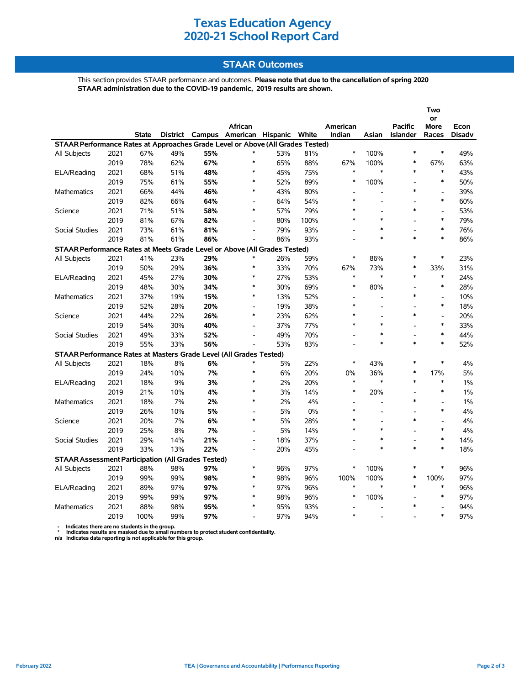# **Texas Education Agency 2020-21 School Report Card**

## **STAAR Outcomes**

This section provides STAAR performance and outcomes. **Please note that due to the cancellation of spring 2020 STAAR administration due to the COVID-19 pandemic, 2019 results are shown.**

|                                                                                                                                                                                             |                                                           |       |     |     |                                                    |     |      |                    |                          |                                    | Two                      |                |  |  |
|---------------------------------------------------------------------------------------------------------------------------------------------------------------------------------------------|-----------------------------------------------------------|-------|-----|-----|----------------------------------------------------|-----|------|--------------------|--------------------------|------------------------------------|--------------------------|----------------|--|--|
|                                                                                                                                                                                             |                                                           |       |     |     |                                                    |     |      |                    |                          |                                    | or                       |                |  |  |
|                                                                                                                                                                                             |                                                           | State |     |     | African<br>District Campus American Hispanic White |     |      | American<br>Indian | Asian                    | <b>Pacific</b><br><b>Islander</b>  | More<br>Races            | Econ<br>Disadv |  |  |
|                                                                                                                                                                                             |                                                           |       |     |     |                                                    |     |      |                    |                          |                                    |                          |                |  |  |
| STAAR Performance Rates at Approaches Grade Level or Above (All Grades Tested)<br>$\ast$<br>100%<br>$\ast$<br>$\ast$<br>49%<br>2021<br>67%<br>49%<br>55%<br>*<br>53%<br>81%<br>All Subjects |                                                           |       |     |     |                                                    |     |      |                    |                          |                                    |                          |                |  |  |
|                                                                                                                                                                                             | 2019                                                      | 78%   | 62% | 67% | $\ast$                                             | 65% | 88%  | 67%                | 100%                     | $\ast$                             | 67%                      | 63%            |  |  |
| ELA/Reading                                                                                                                                                                                 | 2021                                                      | 68%   | 51% | 48% | $\ast$                                             | 45% | 75%  | $\ast$             | $\ast$                   | $\ast$                             | $\ast$                   | 43%            |  |  |
|                                                                                                                                                                                             | 2019                                                      | 75%   | 61% | 55% | $\ast$                                             | 52% | 89%  | *                  | 100%                     | $\overline{\phantom{a}}$           | $\ast$                   | 50%            |  |  |
| Mathematics                                                                                                                                                                                 | 2021                                                      | 66%   | 44% | 46% | $\ast$                                             | 43% | 80%  |                    | $\overline{a}$           | $\ast$                             | $\overline{a}$           | 39%            |  |  |
|                                                                                                                                                                                             | 2019                                                      | 82%   | 66% | 64% | $\overline{\phantom{a}}$                           | 64% | 54%  | $\ast$             |                          |                                    | $\ast$                   | 60%            |  |  |
|                                                                                                                                                                                             | 2021                                                      | 71%   | 51% | 58% | $\ast$                                             | 57% | 79%  | $\ast$             |                          | $\ast$                             | $\overline{\phantom{a}}$ | 53%            |  |  |
| Science                                                                                                                                                                                     | 2019                                                      | 81%   | 67% | 82% | $\overline{\phantom{a}}$                           | 80% | 100% | $\ast$             | $\ast$                   |                                    | $\ast$                   | 79%            |  |  |
|                                                                                                                                                                                             | 2021                                                      | 73%   | 61% | 81% | $\overline{a}$                                     | 79% | 93%  |                    | $\ast$                   | $\overline{a}$                     | $\ast$                   | 76%            |  |  |
| Social Studies                                                                                                                                                                              | 2019                                                      | 81%   |     | 86% |                                                    | 86% | 93%  |                    | $\ast$                   | $\ast$                             | $\ast$                   | 86%            |  |  |
|                                                                                                                                                                                             |                                                           |       | 61% |     |                                                    |     |      |                    |                          |                                    |                          |                |  |  |
| STAAR Performance Rates at Meets Grade Level or Above (All Grades Tested)<br>$\ast$<br>$\ast$<br>$\ast$                                                                                     |                                                           |       |     |     |                                                    |     |      |                    |                          |                                    |                          |                |  |  |
| All Subjects                                                                                                                                                                                | 2021                                                      | 41%   | 23% | 29% | $\ast$                                             | 26% | 59%  |                    | 86%                      | $\ast$                             |                          | 23%            |  |  |
|                                                                                                                                                                                             | 2019                                                      | 50%   | 29% | 36% | $\ast$                                             | 33% | 70%  | 67%<br>$\ast$      | 73%<br>$\ast$            | $\ast$                             | 33%<br>$\ast$            | 31%            |  |  |
| ELA/Reading                                                                                                                                                                                 | 2021                                                      | 45%   | 27% | 30% | $\ast$                                             | 27% | 53%  | $\ast$             |                          |                                    | $\ast$                   | 24%            |  |  |
|                                                                                                                                                                                             | 2019                                                      | 48%   | 30% | 34% | $\ast$                                             | 30% | 69%  |                    | 80%                      | $\overline{\phantom{a}}$<br>$\ast$ |                          | 28%            |  |  |
| Mathematics                                                                                                                                                                                 | 2021                                                      | 37%   | 19% | 15% |                                                    | 13% | 52%  | $\ast$             | $\overline{\phantom{a}}$ |                                    | $\overline{a}$<br>$\ast$ | 10%            |  |  |
|                                                                                                                                                                                             | 2019                                                      | 52%   | 28% | 20% | $\blacksquare$                                     | 19% | 38%  |                    |                          |                                    |                          | 18%            |  |  |
| Science                                                                                                                                                                                     | 2021                                                      | 44%   | 22% | 26% | $\ast$                                             | 23% | 62%  | $\ast$             |                          | $\ast$                             | $\overline{a}$           | 20%            |  |  |
|                                                                                                                                                                                             | 2019                                                      | 54%   | 30% | 40% | $\overline{\phantom{a}}$                           | 37% | 77%  | $\ast$             | $\ast$                   |                                    | $\ast$                   | 33%            |  |  |
| Social Studies                                                                                                                                                                              | 2021                                                      | 49%   | 33% | 52% |                                                    | 49% | 70%  |                    | $\ast$                   |                                    | $\ast$                   | 44%            |  |  |
|                                                                                                                                                                                             | 2019                                                      | 55%   | 33% | 56% |                                                    | 53% | 83%  |                    | $\ast$                   | $\ast$                             | $\ast$                   | 52%            |  |  |
| STAAR Performance Rates at Masters Grade Level (All Grades Tested)                                                                                                                          |                                                           |       |     |     |                                                    |     |      |                    |                          |                                    |                          |                |  |  |
| All Subjects                                                                                                                                                                                | 2021                                                      | 18%   | 8%  | 6%  | ∗                                                  | 5%  | 22%  | *                  | 43%                      | $\ast$                             | $\ast$                   | 4%             |  |  |
|                                                                                                                                                                                             | 2019                                                      | 24%   | 10% | 7%  | $\ast$                                             | 6%  | 20%  | 0%                 | 36%                      | $\ast$                             | 17%                      | 5%             |  |  |
| ELA/Reading                                                                                                                                                                                 | 2021                                                      | 18%   | 9%  | 3%  | $\ast$                                             | 2%  | 20%  | $\ast$             | $\ast$                   | $\ast$                             | $\ast$                   | $1\%$          |  |  |
|                                                                                                                                                                                             | 2019                                                      | 21%   | 10% | 4%  | $\ast$                                             | 3%  | 14%  | $\ast$             | 20%                      |                                    | $\ast$                   | $1\%$          |  |  |
| Mathematics                                                                                                                                                                                 | 2021                                                      | 18%   | 7%  | 2%  | $\ast$                                             | 2%  | 4%   |                    |                          | $\ast$                             |                          | 1%             |  |  |
|                                                                                                                                                                                             | 2019                                                      | 26%   | 10% | 5%  |                                                    | 5%  | 0%   | $\ast$             |                          |                                    | $\ast$                   | 4%             |  |  |
| Science                                                                                                                                                                                     | 2021                                                      | 20%   | 7%  | 6%  | $\ast$                                             | 5%  | 28%  | $\ast$             |                          | $\ast$                             |                          | 4%             |  |  |
|                                                                                                                                                                                             | 2019                                                      | 25%   | 8%  | 7%  | $\overline{a}$                                     | 5%  | 14%  | $\ast$             | $\ast$                   |                                    | $\ast$                   | 4%             |  |  |
| Social Studies                                                                                                                                                                              | 2021                                                      | 29%   | 14% | 21% | $\overline{a}$                                     | 18% | 37%  |                    | $\ast$                   | $\overline{a}$                     | $\ast$                   | 14%            |  |  |
|                                                                                                                                                                                             | 2019                                                      | 33%   | 13% | 22% | ÷.                                                 | 20% | 45%  |                    | $\ast$                   | $\ast$                             | $\ast$                   | 18%            |  |  |
|                                                                                                                                                                                             | <b>STAAR Assessment Participation (All Grades Tested)</b> |       |     |     |                                                    |     |      |                    |                          |                                    |                          |                |  |  |
| All Subjects                                                                                                                                                                                | 2021                                                      | 88%   | 98% | 97% | $\ast$                                             | 96% | 97%  | $\ast$             | 100%                     | $\ast$                             | $\ast$                   | 96%            |  |  |
|                                                                                                                                                                                             | 2019                                                      | 99%   | 99% | 98% | $\ast$                                             | 98% | 96%  | 100%               | 100%                     | $\ast$                             | 100%                     | 97%            |  |  |
| ELA/Reading                                                                                                                                                                                 | 2021                                                      | 89%   | 97% | 97% | $\ast$                                             | 97% | 96%  | $\ast$             | $\ast$                   | $\ast$                             | $\ast$                   | 96%            |  |  |
|                                                                                                                                                                                             | 2019                                                      | 99%   | 99% | 97% | $\ast$                                             | 98% | 96%  | *                  | 100%                     |                                    | $\ast$                   | 97%            |  |  |
| Mathematics                                                                                                                                                                                 | 2021                                                      | 88%   | 98% | 95% | $\ast$                                             | 95% | 93%  |                    |                          | $\ast$                             |                          | 94%            |  |  |
|                                                                                                                                                                                             | 2019                                                      | 100%  | 99% | 97% |                                                    | 97% | 94%  | $\ast$             |                          |                                    | $\ast$                   | 97%            |  |  |
|                                                                                                                                                                                             |                                                           |       |     |     |                                                    |     |      |                    |                          |                                    |                          |                |  |  |

 **- Indicates there are no students in the group. \* Indicates results are masked due to small numbers to protect student confidentiality.**

**n/a Indicates data reporting is not applicable for this group.**